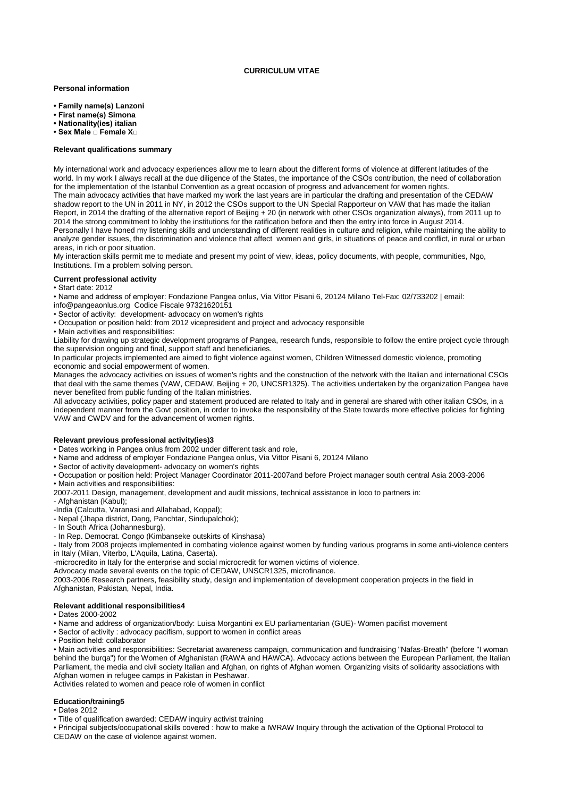### **CURRICULUM VITAE**

### **Personal information**

- **Family name(s) Lanzoni**
- **First name(s) Simona**
- **Nationality(ies) italian**
- **Sex Male □ Female X□**

# **Relevant qualifications summary**

My international work and advocacy experiences allow me to learn about the different forms of violence at different latitudes of the world. In my work I always recall at the due diligence of the States, the importance of the CSOs contribution, the need of collaboration for the implementation of the Istanbul Convention as a great occasion of progress and advancement for women rights. The main advocacy activities that have marked my work the last years are in particular the drafting and presentation of the CEDAW shadow report to the UN in 2011 in NY, in 2012 the CSOs support to the UN Special Rapporteur on VAW that has made the italian Report, in 2014 the drafting of the alternative report of Beijing + 20 (in network with other CSOs organization always), from 2011 up to 2014 the strong commitment to lobby the institutions for the ratification before and then the entry into force in August 2014. Personally I have honed my listening skills and understanding of different realities in culture and religion, while maintaining the ability to analyze gender issues, the discrimination and violence that affect women and girls, in situations of peace and conflict, in rural or urban areas, in rich or poor situation.

My interaction skills permit me to mediate and present my point of view, ideas, policy documents, with people, communities, Ngo, Institutions. I'm a problem solving person.

#### **Current professional activity**

#### • Start date: 2012

• Name and address of employer: Fondazione Pangea onlus, Via Vittor Pisani 6, 20124 Milano Tel-Fax: 02/733202 | email:

- [info@pangeaonlus.org](mailto:info@pangeaonlus.org) Codice Fiscale 97321620151
- Sector of activity: development- advocacy on women's rights
- Occupation or position held: from 2012 vicepresident and project and advocacy responsible

• Main activities and responsibilities:

Liability for drawing up strategic development programs of Pangea, research funds, responsible to follow the entire project cycle through the supervision ongoing and final, support staff and beneficiaries.

In particular projects implemented are aimed to fight violence against women, Children Witnessed domestic violence, promoting economic and social empowerment of women.

Manages the advocacy activities on issues of women's rights and the construction of the network with the Italian and international CSOs that deal with the same themes (VAW, CEDAW, Beijing + 20, UNCSR1325). The activities undertaken by the organization Pangea have never benefited from public funding of the Italian ministries.

All advocacy activities, policy paper and statement produced are related to Italy and in general are shared with other italian CSOs, in a independent manner from the Govt position, in order to invoke the responsibility of the State towards more effective policies for fighting VAW and CWDV and for the advancement of women rights.

### **Relevant previous professional activity(ies)3**

- Dates working in Pangea onlus from 2002 under different task and role,
- Name and address of employer Fondazione Pangea onlus, Via Vittor Pisani 6, 20124 Milano
- Sector of activity development- advocacy on women's rights
- Occupation or position held: Project Manager Coordinator 2011-2007and before Project manager south central Asia 2003-2006 • Main activities and responsibilities:

2007-2011 Design, management, development and audit missions, technical assistance in loco to partners in:

- Afghanistan (Kabul);
- -India (Calcutta, Varanasi and Allahabad, Koppal);
- Nepal (Jhapa district, Dang, Panchtar, Sindupalchok);
- In South Africa (Johannesburg),
- In Rep. Democrat. Congo (Kimbanseke outskirts of Kinshasa)

- Italy from 2008 projects implemented in combating violence against women by funding various programs in some anti-violence centers in Italy (Milan, Viterbo, L'Aquila, Latina, Caserta).

-microcredito in Italy for the enterprise and social microcredit for women victims of violence.

Advocacy made several events on the topic of CEDAW, UNSCR1325, microfinance.

2003-2006 Research partners, feasibility study, design and implementation of development cooperation projects in the field in Afghanistan, Pakistan, Nepal, India.

### **Relevant additional responsibilities4**

• Dates 2000-2002

• Name and address of organization/body: Luisa Morgantini ex EU parliamentarian (GUE)- Women pacifist movement

• Sector of activity : advocacy pacifism, support to women in conflict areas

• Position held: collaborator

• Main activities and responsibilities: Secretariat awareness campaign, communication and fundraising "Nafas-Breath" (before "I woman behind the burqa") for the Women of Afghanistan (RAWA and HAWCA). Advocacy actions between the European Parliament, the Italian Parliament, the media and civil society Italian and Afghan, on rights of Afghan women. Organizing visits of solidarity associations with Afghan women in refugee camps in Pakistan in Peshawar.

Activities related to women and peace role of women in conflict

# **Education/training5**

• Dates 2012

• Title of qualification awarded: CEDAW inquiry activist training

• Principal subjects/occupational skills covered : how to make a IWRAW Inquiry through the activation of the Optional Protocol to CEDAW on the case of violence against women.